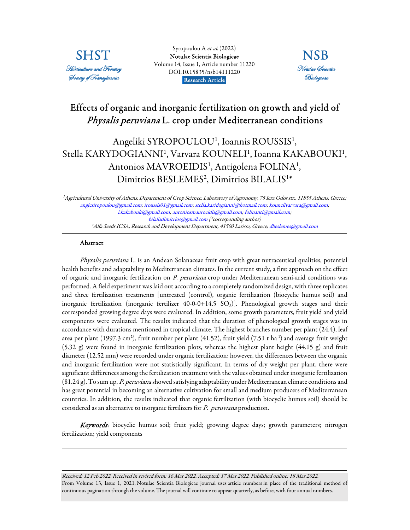

Syropoulou A et al. (2022) [Notulae Scientia Biologicae](https://www.notulaebiologicae.ro/index.php/nsb/index)  Volume 14, Issue 1, Article number 11220 DOI:10.15835/nsb14111220 Research Article.



# Effects of organic and inorganic fertilization on growth and yield of Physalis peruviana L. crop under Mediterranean conditions

# Angeliki SYROPOULOU<sup>1</sup>, Ioannis ROUSSIS<sup>1</sup>, Stella KARYDOGIANNI<sup>1</sup>, Varvara KOUNELI<sup>1</sup>, Ioanna KAKABOUKI<sup>1</sup>, Antonios MAVROEIDIS<sup>1</sup>, Antigolena FOLINA<sup>1</sup>, Dimitrios BESLEMES<sup>2</sup>, Dimitrios BILALIS<sup>1\*</sup>

<sup>1</sup>Agricultural University of Athens, Department of Crop Science, Laboratory of Agronomy, 75 Iera Odos str., 11855 Athens, Greece; angiesiropoulou@gmail.com; iroussis01@gmail.com; stella.karidogianni@hotmail.com; kounelivarvara@gmail.com; i.kakabouki@gmail.com; antoniosmauroeidis@gmail.com; folinanti@gmail.com; bilalisdimitrios@gmail.com (\*corresponding author) <sup>2</sup> Alfa Seeds ICSA, Research and Development Department, 41500 Larissa, Greece; dbeslemes@gmail.com

# Abstract

Physalis peruviana L. is an Andean Solanaceae fruit crop with great nutraceutical qualities, potential health benefits and adaptability to Mediterranean climates. In the current study, a first approach on the effect of organic and inorganic fertilization on P. peruviana crop under Mediterranean semi-arid conditions was performed. A field experiment was laid out according to a completely randomized design, with three replicates and three fertilization treatments [untreated (control), organic fertilization (biocyclic humus soil) and inorganic fertilization (inorganic fertilizer  $40-0-0+14.5$  SO<sub>3</sub>)]. Phenological growth stages and their corresponded growing degree days were evaluated. In addition, some growth parameters, fruit yield and yield components were evaluated. The results indicated that the duration of phenological growth stages was in accordance with durations mentioned in tropical climate. The highest branches number per plant (24.4), leaf area per plant (1997.3 cm²), fruit number per plant (41.52), fruit yield (7.51 t ha<sup>1</sup>) and average fruit weight (5.32 g) were found in inorganic fertilization plots, whereas the highest plant height (44.15 g) and fruit diameter (12.52 mm) were recorded under organic fertilization; however, the differences between the organic and inorganic fertilization were not statistically significant. In terms of dry weight per plant, there were significant differences among the fertilization treatment with the values obtained under inorganic fertilization (81.24 g). To sum up, P. peruviana showed satisfying adaptability under Mediterranean climate conditions and has great potential in becoming an alternative cultivation for small and medium producers of Mediterranean countries. In addition, the results indicated that organic fertilization (with biocyclic humus soil) should be considered as an alternative to inorganic fertilizers for P. peruviana production.

Keywords: biocyclic humus soil; fruit yield; growing degree days; growth parameters; nitrogen fertilization; yield components

Received: 12 Feb 2022. Received in revised form: 16 Mar 2022. Accepted: 17 Mar 2022. Published online: 18 Mar 2022. From Volume 13, Issue 1, 2021, Notulae Scientia Biologicae journal uses article numbers in place of the traditional method of continuous pagination through the volume. The journal will continue to appear quarterly, as before, with four annual numbers.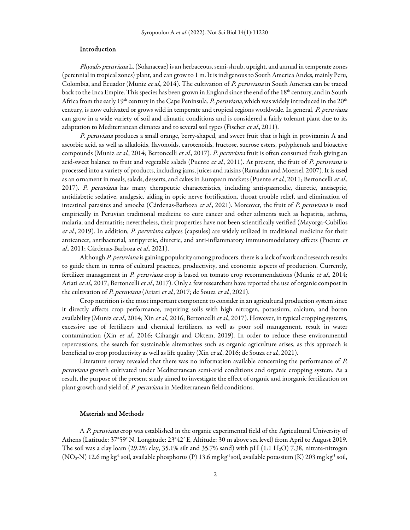## Introduction

Physalis peruviana L. (Solanaceae) is an herbaceous, semi-shrub, upright, and annual in temperate zones (perennial in tropical zones) plant, and can grow to 1 m. It is indigenous to South America Andes, mainly Peru, Colombia, and Ecuador (Muniz et al., 2014). The cultivation of P. peruviana in South America can be traced back to the Inca Empire. This species has been grown in England since the end of the 18<sup>th</sup> century, and in South Africa from the early 19<sup>th</sup> century in the Cape Peninsula. P. peruviana, which was widely introduced in the 20<sup>th</sup> century, is now cultivated or grows wild in temperate and tropical regions worldwide. In general, P. peruviana can grow in a wide variety of soil and climatic conditions and is considered a fairly tolerant plant due to its adaptation to Mediterranean climates and to several soil types (Fischer et al., 2011).

P. peruviana produces a small orange, berry-shaped, and sweet fruit that is high in provitamin A and ascorbic acid, as well as alkaloids, flavonoids, carotenoids, fructose, sucrose esters, polyphenols and bioactive compounds (Muniz et al., 2014; Bertoncelli et al., 2017). P. peruviana fruit is often consumed fresh giving an acid-sweet balance to fruit and vegetable salads (Puente et al., 2011). At present, the fruit of P. peruviana is processed into a variety of products, including jams, juices and raisins (Ramadan and Moersel, 2007). It is used as an ornament in meals, salads, desserts, and cakes in European markets (Puente et al., 2011; Bertoncelli et al., 2017). P. peruviana has many therapeutic characteristics, including antispasmodic, diuretic, antiseptic, antidiabetic sedative, analgesic, aiding in optic nerve fortification, throat trouble relief, and elimination of intestinal parasites and amoeba (Cárdenas-Barboza et al., 2021). Moreover, the fruit of P. peruviana is used empirically in Peruvian traditional medicine to cure cancer and other ailments such as hepatitis, asthma, malaria, and dermatitis; nevertheless, their properties have not been scientifically verified (Mayorga-Cubillos et al., 2019). In addition, P. peruviana calyces (capsules) are widely utilized in traditional medicine for their anticancer, antibacterial, antipyretic, diuretic, and anti-inflammatory immunomodulatory effects (Puente et al., 2011; Cárdenas-Barboza *et al.*, 2021).

Although P. peruviana is gaining popularity among producers, there is a lack of work and research results to guide them in terms of cultural practices, productivity, and economic aspects of production. Currently, fertilizer management in P. peruviana crop is based on tomato crop recommendations (Muniz et al., 2014; Ariati et al., 2017; Bertoncelli et al., 2017). Only a few researchers have reported the use of organic compost in the cultivation of P. peruviana (Ariati et al., 2017; de Souza et al., 2021).

Crop nutrition is the most important component to consider in an agricultural production system since it directly affects crop performance, requiring soils with high nitrogen, potassium, calcium, and boron availability (Muniz et al., 2014; Xin et al., 2016; Bertoncelli et al., 2017). However, in typical cropping systems, excessive use of fertilizers and chemical fertilizers, as well as poor soil management, result in water contamination (Xin et al., 2016; Cihangir and Oktem, 2019). In order to reduce these environmental repercussions, the search for sustainable alternatives such as organic agriculture arises, as this approach is beneficial to crop productivity as well as life quality (Xin et al., 2016; de Souza et al., 2021).

Literature survey revealed that there was no information available concerning the performance of P. peruviana growth cultivated under Mediterranean semi-arid conditions and organic cropping system. As a result, the purpose of the present study aimed to investigate the effect of organic and inorganic fertilization on plant growth and yield of. P. peruviana in Mediterranean field conditions.

# Materials and Methods

A P. peruviana crop was established in the organic experimental field of the Agricultural University of Athens (Latitude: 37°59′ N, Longitude: 23°42′ E, Altitude: 30 m above sea level) from April to August 2019. The soil was a clay loam (29.2% clay, 35.1% silt and 35.7% sand) with pH (1:1 H<sub>2</sub>O) 7.38, nitrate-nitrogen  $(NO<sub>3</sub>-N)$  12.6 mg kg<sup>-1</sup> soil, available phosphorus (P) 13.6 mg kg<sup>-1</sup> soil, available potassium (K) 203 mg kg<sup>-1</sup> soil,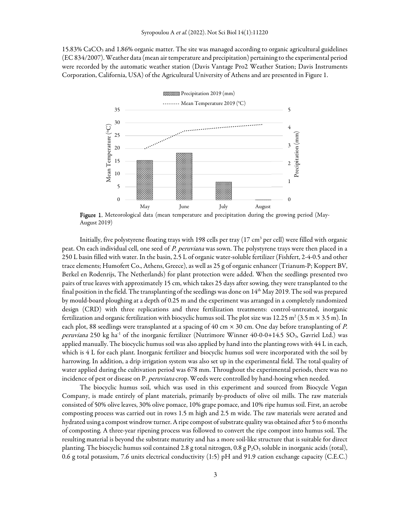15.83% CaCO3 and 1.86% organic matter. The site was managed according to organic agricultural guidelines (EC 834/2007). Weather data (mean air temperature and precipitation) pertaining to the experimental period were recorded by the automatic weather station (Davis Vantage Pro2 Weather Station; Davis Instruments Corporation, California, USA) of the Agricultural University of Athens and are presented in Figure 1.



Figure 1. Meteorological data (mean temperature and precipitation during the growing period (May-August 2019)

Initially, five polystyrene floating trays with 198 cells per tray (17 cm $^3$  per cell) were filled with organic peat. On each individual cell, one seed of P. peruviana was sown. The polystyrene trays were then placed in a 250 L basin filled with water. In the basin, 2.5 L of organic water-soluble fertilizer (Fishfert, 2-4-0.5 and other trace elements; Humofert Co., Athens, Greece), as well as 25 g of organic enhancer (Trianum-P; Koppert BV, Berkel en Rodenrijs, The Netherlands) for plant protection were added. When the seedlings presented two pairs of true leaves with approximately 15 cm, which takes 25 days after sowing, they were transplanted to the final position in the field. The transplanting of the seedlings was done on  $14<sup>th</sup>$  May 2019. The soil was prepared by mould-board ploughing at a depth of 0.25 m and the experiment was arranged in a completely randomized design (CRD) with three replications and three fertilization treatments: control-untreated, inorganic fertilization and organic fertilization with biocyclic humus soil. The plot size was 12.25 m² (3.5 m × 3.5 m). In each plot, 88 seedlings were transplanted at a spacing of 40 cm  $\times$  30 cm. One day before transplanting of P. peruviana 250 kg ha<sup>-1</sup> of the inorganic fertilizer (Nutrimore Winner 40-0-0+14.5 SO<sub>3</sub>, Gavriel Ltd.) was applied manually. The biocyclic humus soil was also applied by hand into the planting rows with 44 L in each, which is 4 L for each plant. Inorganic fertilizer and biocyclic humus soil were incorporated with the soil by harrowing. In addition, a drip irrigation system was also set up in the experimental field. The total quality of water applied during the cultivation period was 678 mm. Throughout the experimental periods, there was no incidence of pest or disease on P. peruviana crop. Weeds were controlled by hand-hoeing when needed.

The biocyclic humus soil, which was used in this experiment and sourced from Biocycle Vegan Company, is made entirely of plant materials, primarily by-products of olive oil mills. The raw materials consisted of 50% olive leaves, 30% olive pomace, 10% grape pomace, and 10% ripe humus soil. First, an aerobe composting process was carried out in rows 1.5 m high and 2.5 m wide. The raw materials were aerated and hydrated using a compost windrow turner. A ripe compost of substrate quality was obtained after 5 to 6 months of composting. A three-year ripening process was followed to convert the ripe compost into humus soil. The resulting material is beyond the substrate maturity and has a more soil-like structure that is suitable for direct planting. The biocyclic humus soil contained 2.8 g total nitrogen, 0.8 g  $P_2O_5$  soluble in inorganic acids (total), 0.6 g total potassium, 7.6 units electrical conductivity (1:5) pH and 91.9 cation exchange capacity (C.E.C.)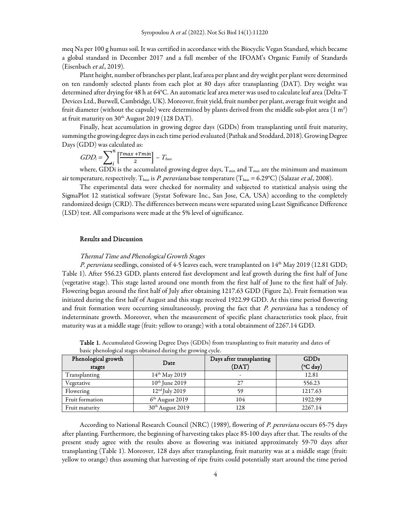meq Na per 100 g humus soil. It was certified in accordance with the Biocyclic Vegan Standard, which became a global standard in December 2017 and a full member of the IFOAM's Organic Family of Standards (Eisenbach et al., 2019).

Plant height, number of branches per plant, leaf area per plant and dry weight per plant were determined on ten randomly selected plants from each plot at 80 days after transplanting (DAT). Dry weight was determined after drying for 48 h at 64°C. An automatic leaf area meter was used to calculate leaf area (Delta-T Devices Ltd., Burwell, Cambridge, UK). Moreover, fruit yield, fruit number per plant, average fruit weight and fruit diameter (without the capsule) were determined by plants derived from the middle sub-plot area (1 m²) at fruit maturity on 30<sup>th</sup> August 2019 (128 DAT).

Finally, heat accumulation in growing degree days (GDDs) from transplanting until fruit maturity, summing the growing degree days in each time period evaluated (Pathak and Stoddard, 2018). Growing Degree Days (GDD) was calculated as:

$$
GDD_i = \sum_{i}^{n} \left[ \frac{Tmax + Tmin}{2} \right] - T_{base}
$$

where, GDDi is the accumulated growing degree days,  $T_{min}$  and  $T_{max}$  are the minimum and maximum air temperature, respectively. T<sub>base</sub> is P. peruviana base temperature (T<sub>base</sub> = 6.29°C) (Salazar *et al.*, 2008).

The experimental data were checked for normality and subjected to statistical analysis using the SigmaPlot 12 statistical software (Systat Software Inc., San Jose, CA, USA) according to the completely randomized design (CRD). The differences between means were separated using Least Significance Difference (LSD) test. All comparisons were made at the 5% level of significance.

# Results and Discussion

#### Thermal Time and Phenological Growth Stages

P. peruviana seedlings, consisted of 4-5 leaves each, were transplanted on  $14^{\text{th}}$  May 2019 (12.81 GDD; Table 1). After 556.23 GDD, plants entered fast development and leaf growth during the first half of June (vegetative stage). This stage lasted around one month from the first half of June to the first half of July. Flowering began around the first half of July after obtaining 1217.63 GDD (Figure 2a). Fruit formation was initiated during the first half of August and this stage received 1922.99 GDD. At this time period flowering and fruit formation were occurring simultaneously, proving the fact that P. peruviana has a tendency of indeterminate growth. Moreover, when the measurement of specific plant characteristics took place, fruit maturity was at a middle stage (fruit: yellow to orange) with a total obtainment of 2267.14 GDD.

| Phenological growth<br>stages | Date                         | Days after transplanting<br>(DAT) | <b>GDDs</b><br>$(^{\circ}C \text{ day})$ |
|-------------------------------|------------------------------|-----------------------------------|------------------------------------------|
| Transplanting                 | $14^{th}$ May 2019           |                                   | 12.81                                    |
| Vegetative                    | $10th$ June 2019             | 27                                | 556.23                                   |
| Flowering                     | $12nd$ July 2019             | 59                                | 1217.63                                  |
| Fruit formation               | $6th$ August 2019            | 104                               | 1922.99                                  |
| Fruit maturity                | 30 <sup>th</sup> August 2019 | 128                               | 2267.14                                  |

Table 1. Accumulated Growing Degree Days (GDDs) from transplanting to fruit maturity and dates of basic phenological stages obtained during the growing cycle.

According to National Research Council (NRC) (1989), flowering of P. peruviana occurs 65-75 days after planting. Furthermore, the beginning of harvesting takes place 85-100 days after that. The results of the present study agree with the results above as flowering was initiated approximately 59-70 days after transplanting (Table 1). Moreover, 128 days after transplanting, fruit maturity was at a middle stage (fruit: yellow to orange) thus assuming that harvesting of ripe fruits could potentially start around the time period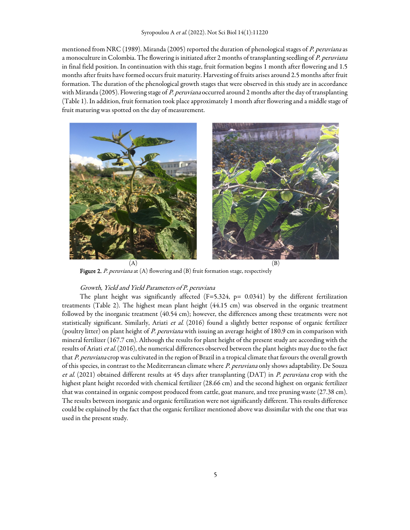mentioned from NRC (1989). Miranda (2005) reported the duration of phenological stages of P. peruviana as a monoculture in Colombia. The flowering is initiated after 2 months of transplanting seedling of P. peruviana in final field position. In continuation with this stage, fruit formation begins 1 month after flowering and 1.5 months after fruits have formed occurs fruit maturity. Harvesting of fruits arises around 2.5 months after fruit formation. The duration of the phenological growth stages that were observed in this study are in accordance with Miranda (2005). Flowering stage of P. peruviana occurred around 2 months after the day of transplanting (Table 1). In addition, fruit formation took place approximately 1 month after flowering and a middle stage of fruit maturing was spotted on the day of measurement.



**Figure 2.** P. peruviana at  $(A)$  flowering and  $(B)$  fruit formation stage, respectively

#### Growth, Yield and Yield Parameters of P. peruviana

The plant height was significantly affected  $(F=5.324, p= 0.0341)$  by the different fertilization treatments (Table 2). The highest mean plant height (44.15 cm) was observed in the organic treatment followed by the inorganic treatment (40.54 cm); however, the differences among these treatments were not statistically significant. Similarly, Ariati et al.  $(2016)$  found a slightly better response of organic fertilizer (poultry litter) on plant height of P. peruviana with issuing an average height of 180.9 cm in comparison with mineral fertilizer (167.7 cm). Although the results for plant height of the present study are according with the results of Ariati et al. (2016), the numerical differences observed between the plant heights may due to the fact that P. peruviana crop was cultivated in the region of Brazil in a tropical climate that favours the overall growth of this species, in contrast to the Mediterranean climate where P. peruviana only shows adaptability. De Souza et al. (2021) obtained different results at 45 days after transplanting (DAT) in P. peruviana crop with the highest plant height recorded with chemical fertilizer (28.66 cm) and the second highest on organic fertilizer that was contained in organic compost produced from cattle, goat manure, and tree pruning waste (27.38 cm). The results between inorganic and organic fertilization were not significantly different. This results difference could be explained by the fact that the organic fertilizer mentioned above was dissimilar with the one that was used in the present study.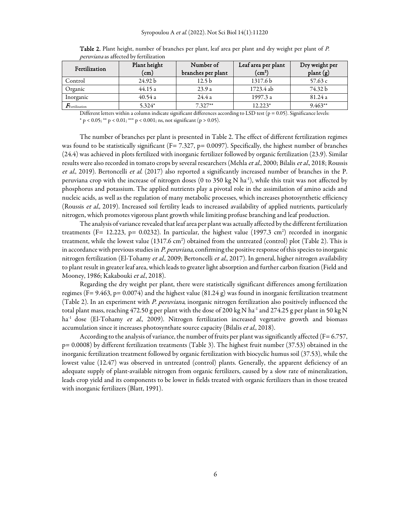| Fertilization                         | Plant height<br>(cm) | Number of<br>branches per plant | Leaf area per plant<br>$\rm (cm^2)$ | Dry weight per<br>plant (g) |
|---------------------------------------|----------------------|---------------------------------|-------------------------------------|-----------------------------|
| Control                               | 24.92 b              | 12.5 <sub>b</sub>               | 1317.6 <sub>b</sub>                 | 57.63 c                     |
| Organic                               | 44.15 a              | 23.9a                           | 1723.4 ab                           | 74.32 b                     |
| Inorganic                             | 40.54a               | 24.4a                           | 1997.3 a                            | 81.24 a                     |
| $\textit{F}_{\textrm{Fertilization}}$ | 5.324*               | $7.327**$                       | $12.223*$                           | $9.463**$                   |

Table 2. Plant height, number of branches per plant, leaf area per plant and dry weight per plant of P. peruviana as affected by fertilization

Different letters within a column indicate significant differences according to LSD test ( $p = 0.05$ ). Significance levels: \* p < 0.05; \*\* p < 0.01; \*\*\* p < 0.001; ns, not significant (p > 0.05).

The number of branches per plant is presented in Table 2. The effect of different fertilization regimes was found to be statistically significant (F= 7.327, p= 0.0097). Specifically, the highest number of branches (24.4) was achieved in plots fertilized with inorganic fertilizer followed by organic fertilization (23.9). Similar results were also recorded in tomato crops by several researchers (Mehla et al., 2000; Bilalis et al., 2018; Roussis et al., 2019). Bertoncelli et al. (2017) also reported a significantly increased number of branches in the P. peruviana crop with the increase of nitrogen doses (0 to 350 kg N ha<sup>-1</sup>), while this trait was not affected by phosphorus and potassium. The applied nutrients play a pivotal role in the assimilation of amino acids and nucleic acids, as well as the regulation of many metabolic processes, which increases photosynthetic efficiency (Roussis et al., 2019). Increased soil fertility leads to increased availability of applied nutrients, particularly nitrogen, which promotes vigorous plant growth while limiting profuse branching and leaf production.

The analysis of variance revealed that leaf area per plant was actually affected by the different fertilization treatments (F= 12.223, p= 0.0232). In particular, the highest value (1997.3 cm<sup>2</sup>) recorded in inorganic treatment, while the lowest value (1317.6 cm<sup>2</sup>) obtained from the untreated (control) plot (Table 2). This is in accordance with previous studies in P. peruviana, confirming the positive response of this species to inorganic nitrogen fertilization (El-Tohamy et al., 2009; Bertoncelli et al., 2017). In general, higher nitrogen availability to plant result in greater leaf area, which leads to greater light absorption and further carbon fixation (Field and Mooney, 1986; Kakabouki et al., 2018).

Regarding the dry weight per plant, there were statistically significant differences among fertilization regimes (F= 9.463, p= 0.0074) and the highest value (81.24 g) was found in inorganic fertilization treatment (Table 2). In an experiment with P. peruviana, inorganic nitrogen fertilization also positively influenced the total plant mass, reaching 472.50 g per plant with the dose of 200 kg N ha-1 and 274.25 g per plant in 50 kg N  $ha^{-1}$  dose (El-Tohamy et al., 2009). Nitrogen fertilization increased vegetative growth and biomass accumulation since it increases photosynthate source capacity (Bilalis et al., 2018).

According to the analysis of variance, the number of fruits per plant was significantly affected ( $F = 6.757$ , p= 0.0008) by different fertilization treatments (Table 3). The highest fruit number (37.53) obtained in the inorganic fertilization treatment followed by organic fertilization with biocyclic humus soil (37.53), while the lowest value (12.47) was observed in untreated (control) plants. Generally, the apparent deficiency of an adequate supply of plant-available nitrogen from organic fertilizers, caused by a slow rate of mineralization, leads crop yield and its components to be lower in fields treated with organic fertilizers than in those treated with inorganic fertilizers (Blatt, 1991).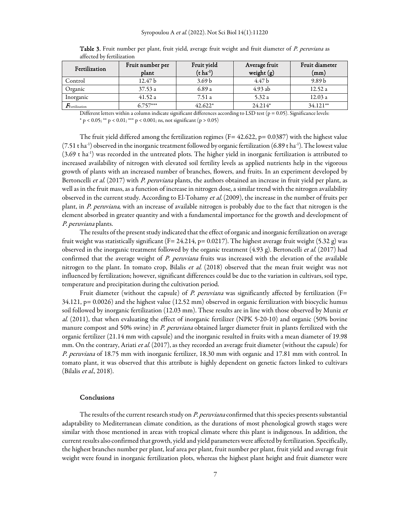| Fertilization           | Fruit number per<br>plant | Fruit yield<br>$(t \, ha^{-1})$ | Average fruit<br>weight (g) | Fruit diameter<br>(mm) |
|-------------------------|---------------------------|---------------------------------|-----------------------------|------------------------|
| Control                 | 12.47 b                   | 3.69 <sub>b</sub>               | 4.47 b                      | 9.89 <sub>b</sub>      |
| Organic                 | 37.53a                    | 6.89 a                          | $4.93$ ab                   | 12.52a                 |
| Inorganic               | 41.52a                    | 7.51 a                          | 5.32a                       | 12.03a                 |
| $F_{\rm Fertilization}$ | $6.757***$                | $42.622*$                       | $24.214*$                   | 34.121**               |

Table 3. Fruit number per plant, fruit yield, average fruit weight and fruit diameter of P. peruviana as affected by fertilization

Different letters within a column indicate significant differences according to LSD test ( $p = 0.05$ ). Significance levels: \* p < 0.05; \*\* p < 0.01; \*\*\* p < 0.001; ns, not significant (p > 0.05)

The fruit yield differed among the fertilization regimes (F=  $42.622$ , p=  $0.0387$ ) with the highest value  $(7.51 \text{ tha}^{-1})$  observed in the inorganic treatment followed by organic fertilization (6.89 t ha<sup>-1</sup>). The lowest value  $(3.69 \text{ t} \text{ ha}^{-1})$  was recorded in the untreated plots. The higher yield in inorganic fertilization is attributed to increased availability of nitrogen with elevated soil fertility levels as applied nutrients help in the vigorous growth of plants with an increased number of branches, flowers, and fruits. In an experiment developed by Bertoncelli et al. (2017) with P. peruviana plants, the authors obtained an increase in fruit yield per plant, as well as in the fruit mass, as a function of increase in nitrogen dose, a similar trend with the nitrogen availability observed in the current study. According to El-Tohamy et al. (2009), the increase in the number of fruits per plant, in P. peruviana, with an increase of available nitrogen is probably due to the fact that nitrogen is the element absorbed in greater quantity and with a fundamental importance for the growth and development of P. peruviana plants.

The results of the present study indicated that the effect of organic and inorganic fertilization on average fruit weight was statistically significant (F= 24.214, p= 0.0217). The highest average fruit weight (5.32 g) was observed in the inorganic treatment followed by the organic treatment  $(4.93 \text{ g})$ . Bertoncelli *et al.* (2017) had confirmed that the average weight of P. peruviana fruits was increased with the elevation of the available nitrogen to the plant. In tomato crop, Bilalis et al. (2018) observed that the mean fruit weight was not influenced by fertilization; however, significant differences could be due to the variation in cultivars, soil type, temperature and precipitation during the cultivation period.

Fruit diameter (without the capsule) of *P. peruviana* was significantly affected by fertilization (F= 34.121, p= 0.0026) and the highest value (12.52 mm) observed in organic fertilization with biocyclic humus soil followed by inorganic fertilization (12.03 mm). These results are in line with those observed by Muniz et al. (2011), that when evaluating the effect of inorganic fertilizer (NPK 5-20-10) and organic (50% bovine manure compost and 50% swine) in P. peruviana obtained larger diameter fruit in plants fertilized with the organic fertilizer (21.14 mm with capsule) and the inorganic resulted in fruits with a mean diameter of 19.98 mm. On the contrary, Ariati et al. (2017), as they recorded an average fruit diameter (without the capsule) for P. peruviana of 18.75 mm with inorganic fertilizer, 18.30 mm with organic and 17.81 mm with control. In tomato plant, it was observed that this attribute is highly dependent on genetic factors linked to cultivars (Bilalis et al., 2018).

## **Conclusions**

The results of the current research study on P. peruviana confirmed that this species presents substantial adaptability to Mediterranean climate condition, as the durations of most phenological growth stages were similar with those mentioned in areas with tropical climate where this plant is indigenous. In addition, the current results also confirmed that growth, yield and yield parameters were affected by fertilization. Specifically, the highest branches number per plant, leaf area per plant, fruit number per plant, fruit yield and average fruit weight were found in inorganic fertilization plots, whereas the highest plant height and fruit diameter were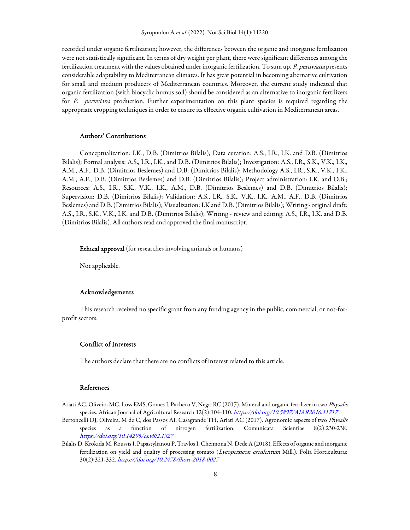recorded under organic fertilization; however, the differences between the organic and inorganic fertilization were not statistically significant. In terms of dry weight per plant, there were significant differences among the fertilization treatment with the values obtained under inorganic fertilization. To sum up, P. peruviana presents considerable adaptability to Mediterranean climates. It has great potential in becoming alternative cultivation for small and medium producers of Mediterranean countries. Moreover, the current study indicated that organic fertilization (with biocyclic humus soil) should be considered as an alternative to inorganic fertilizers for P. peruviana production. Further experimentation on this plant species is required regarding the appropriate cropping techniques in order to ensure its effective organic cultivation in Mediterranean areas.

## Authors' Contributions

Conceptualization: I.K., D.B. (Dimitrios Bilalis); Data curation: A.S., I.R., I.K. and D.B. (Dimitrios Bilalis); Formal analysis: A.S., I.R., I.K., and D.B. (Dimitrios Bilalis); Investigation: A.S., I.R., S.K., V.K., I.K., A.M., A.F., D.B. (Dimitrios Beslemes) and D.B. (Dimitrios Bilalis); Methodology A.S., I.R., S.K., V.K., I.K., A.M., A.F., D.B. (Dimitrios Beslemes) and D.B. (Dimitrios Bilalis); Project administration: I.K. and D.B.; Resources: A.S., I.R., S.K., V.K., I.K., A.M., D.B. (Dimitrios Beslemes) and D.B. (Dimitrios Bilalis); Supervision: D.B. (Dimitrios Bilalis); Validation: A.S., I.R., S.K., V.K., I.K., A.M., A.F., D.B. (Dimitrios Beslemes) and D.B. (Dimitrios Bilalis); Visualization: I.K and D.B. (Dimitrios Bilalis); Writing - original draft: A.S., I.R., S.K., V.K., I.K. and D.B. (Dimitrios Bilalis); Writing - review and editing: A.S., I.R., I.K. and D.B. (Dimitrios Bilalis). All authors read and approved the final manuscript.

Ethical approval (for researches involving animals or humans)

Not applicable.

## Acknowledgements

This research received no specific grant from any funding agency in the public, commercial, or not-forprofit sectors.

## Conflict of Interests

The authors declare that there are no conflicts of interest related to this article.

# References

- Ariati AC, Oliveira MC, Loss EMS, Gomes I, Pacheco V, Negri RC (2017). Mineral and organic fertilizer in two Physalis species. African Journal of Agricultural Research 12(2):104-110. https://doi.org/10.5897/AJAR2016.11717
- Bertoncelli DJ, Oliveira, M de C, dos Passos AI, Casagrande TH, Ariati AC (2017). Agronomic aspects of two Physalis species as a function of nitrogen fertilization. Comunicata Scientiae 8(2):230-238. https://doi.org/10.14295/cs.v8i2.1327
- Bilalis D, Krokida M, Roussis I, Papastylianou P, Travlos I, Cheimona N, Dede A (2018). Effects of organic and inorganic fertilization on yield and quality of processing tomato (Lycopersicon esculentum Mill.). Folia Horticulturae 30(2):321-332. https://doi.org/10.2478/fhort-2018-0027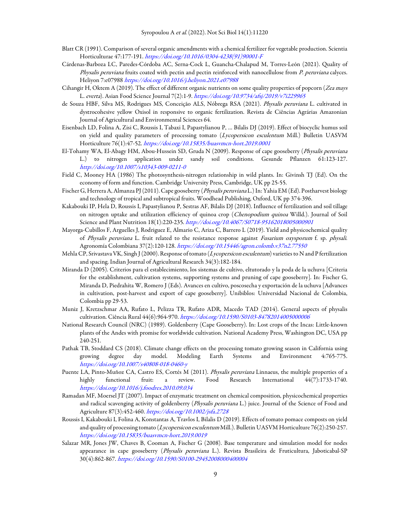- Blatt CR (1991). Comparison of several organic amendments with a chemical fertilizer for vegetable production. Scientia Horticulturae 47:177-191. https://doi.org/10.1016/0304-4238(91)90001-F
- Cárdenas-Barboza LC, Paredes-Córdoba AC, Serna-Cock L, Guancha-Chalapud M, Torres-León (2021). Quality of Physalis peruviana fruits coated with pectin and pectin reinforced with nanocellulose from P. peruviana calyces. Heliyon 7:e07988 https://doi.org/10.1016/j.heliyon.2021.e07988
- Cihangir H, Oktem A (2019). The effect of different organic nutrients on some quality properties of popcorn (Zea mays L. everta). Asian Food Science Journal 7(2):1-9. https://doi.org/10.9734/afsj/2019/v7i229965
- de Souza HBF, Silva MS, Rodrigues MS, Conceição ALS, Nóbrega RSA (2021). Physalis peruviana L. cultivated in dystrocohesive yellow Oxisol in responsive to organic fertilization. Revista de Ciências Agrárias Amazonian Journal of Agricultural and Environmental Sciences 64.
- Eisenbach LD, Folina A, Zisi C, Roussis I, Tabaxi I, Papastylianou P, … Bilalis DJ (2019). Effect of biocyclic humus soil on yield and quality parameters of processing tomato (Lycopersicon esculentum Mill.) Bulletin UASVM Horticulture 76(1):47-52. https://doi.org/10.15835/buasvmcn-hort.2019.0001
- El-Tohamy WA, El-Abagy HM, Abou-Hussein SD, Gruda N (2009). Response of cape gooseberry (Physalis peruviana L.) to nitrogen application under sandy soil conditions. Gesunde Pflanzen 61:123-127. http://doi.org/10.1007/s10343-009-0211-0
- Field C, Mooney HA (1986) The photosynthesis-nitrogen relationship in wild plants. In: Givinsh TJ (Ed). On the economy of form and function. Cambridge University Press, Cambridge, UK pp 25-55.
- Fischer G, Herrera A, Almanza PJ (2011). Cape gooseberry (Physalis peruviana L.) In: Yahia EM (Ed). Postharvest biology and technology of tropical and subtropical fruits. Woodhead Publishing, Oxford, UK pp 374-396.
- Kakabouki IP, Hela D, Roussis I, Papastylianou P, Sestras AF, Bilalis DJ (2018). Influence of fertilization and soil tillage on nitrogen uptake and utilization efficiency of quinoa crop (Chenopodium quinoa Willd.). Journal of Soil Science and Plant Nutrition 18(1):220-235. http://doi.org/10.4067/S0718-95162018005000901
- Mayorga-Cubillos F, Arguelles J, Rodriguez E, Almario C, Ariza C, Barrero L (2019). Yield and physicochemical quality of Physalis peruviana L. fruit related to the resistance response against Fusarium oxysporum f. sp. physali. Agronomía Colombiana 37(2):120-128. https://doi.org/10.15446/agron.colomb.v37n2.77550
- Mehla CP, Srivastava VK, Singh J (2000). Response of tomato (Lycopersicon esculentum) varieties to N and P fertilization and spacing. Indian Journal of Agricultural Research 34(3):182-184.
- Miranda D (2005). Criterios para el establecimiento, los sistemas de cultivo, eltutorado y la poda de la uchuva [Criteria for the establishment, cultivation systems, supporting systems and pruning of cape gooseberry]. In: Fischer G, Miranda D, Piedrahíta W, Romero J (Eds). Avances en cultivo, poscosecha y exportación de la uchuva [Advances in cultivation, post-harvest and export of cape gooseberry]. Unibiblos: Universidad Nacional de Colombia, Colombia pp 29-53.
- Muniz J, Kretzschmar AA, Rufato L, Pelizza TR, Rufato ADR, Macedo TAD (2014). General aspects of physalis cultivation. Ciência Rural 44(6):964-970. https://doi.org/10.1590/S0103-84782014005000006
- National Research Council (NRC) (1989). Goldenberry (Cape Gooseberry). In: Lost crops of the Incas: Little-known plants of the Andes with promise for worldwide cultivation. National Academy Press, Washington DC, USA pp 240-251.
- Pathak TB, Stoddard CS (2018). Climate change effects on the processing tomato growing season in California using growing degree day model. Modeling Earth Systems and Environment 4:765-775. https://doi.org/10.1007/s40808-018-0460-y
- Puente LA, Pinto-Muñoz CA, Castro ES, Cortés M (2011). Physalis peruviana Linnaeus, the multiple properties of a highly functional fruit: a review. Food Research International 44(7):1733-1740. https://doi.org/10.1016/j.foodres.2010.09.034
- Ramadan MF, Moersel JT (2007). Impact of enzymatic treatment on chemical composition, physicochemical properties and radical scavenging activity of goldenberry (Physalis peruviana L.) juice. Journal of the Science of Food and Agriculture 87(3):452-460. https://doi.org/10.1002/jsfa.2728
- Roussis I, Kakabouki I, Folina A, Konstantas A, Travlos I, Bilalis D (2019). Effects of tomato pomace composts on yield and quality of processing tomato (Lycopersicon esculentum Mill.). Bulletin UASVM Horticulture 76(2):250-257. https://doi.org/10.15835/buasvmcn-hort.2019.0019
- Salazar MR, Jones JW, Chaves B, Cooman A, Fischer G (2008). Base temperature and simulation model for nodes appearance in cape gooseberry (Physalis peruviana L.). Revista Brasileira de Fruticultura, Jaboticabal-SP 30(4):862-867. https://doi.org/10.1590/S0100-29452008000400004